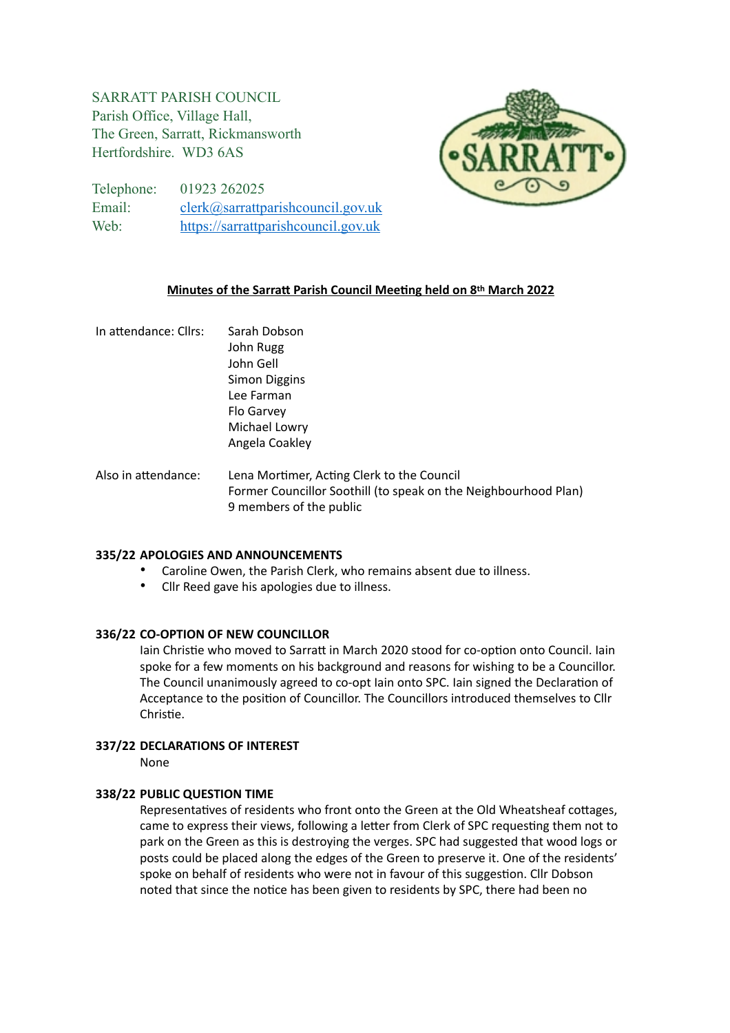# SARRATT PARISH COUNCIL Parish Office, Village Hall, The Green, Sarratt, Rickmansworth Hertfordshire. WD3 6AS



Telephone: 01923 262025 Email: [clerk@sarrattparishcouncil.gov.uk](mailto:clerk@sarrattparishcouncil.gov.uk) Web: <https://sarrattparishcouncil.gov.uk>

## **Minutes of the Sarratt Parish Council Meeting held on 8th March 2022**

In attendance: Cllrs: Sarah Dobson John Rugg John Gell Simon Diggins Lee Farman Flo Garvey Michael Lowry Angela Coakley Also in attendance: Lena Mortimer, Acting Clerk to the Council Former Councillor Soothill (to speak on the Neighbourhood Plan) 9 members of the public

### **335/22 APOLOGIES AND ANNOUNCEMENTS**

- Caroline Owen, the Parish Clerk, who remains absent due to illness.
- Cllr Reed gave his apologies due to illness.

### **336/22 CO-OPTION OF NEW COUNCILLOR**

Iain Christie who moved to Sarratt in March 2020 stood for co-option onto Council. Iain spoke for a few moments on his background and reasons for wishing to be a Councillor. The Council unanimously agreed to co-opt Iain onto SPC. Iain signed the Declaration of Acceptance to the position of Councillor. The Councillors introduced themselves to Cllr Christie.

### **337/22 DECLARATIONS OF INTEREST**

None

## **338/22 PUBLIC QUESTION TIME**

Representatives of residents who front onto the Green at the Old Wheatsheaf cottages, came to express their views, following a letter from Clerk of SPC requesting them not to park on the Green as this is destroying the verges. SPC had suggested that wood logs or posts could be placed along the edges of the Green to preserve it. One of the residents' spoke on behalf of residents who were not in favour of this suggestion. Cllr Dobson noted that since the notice has been given to residents by SPC, there had been no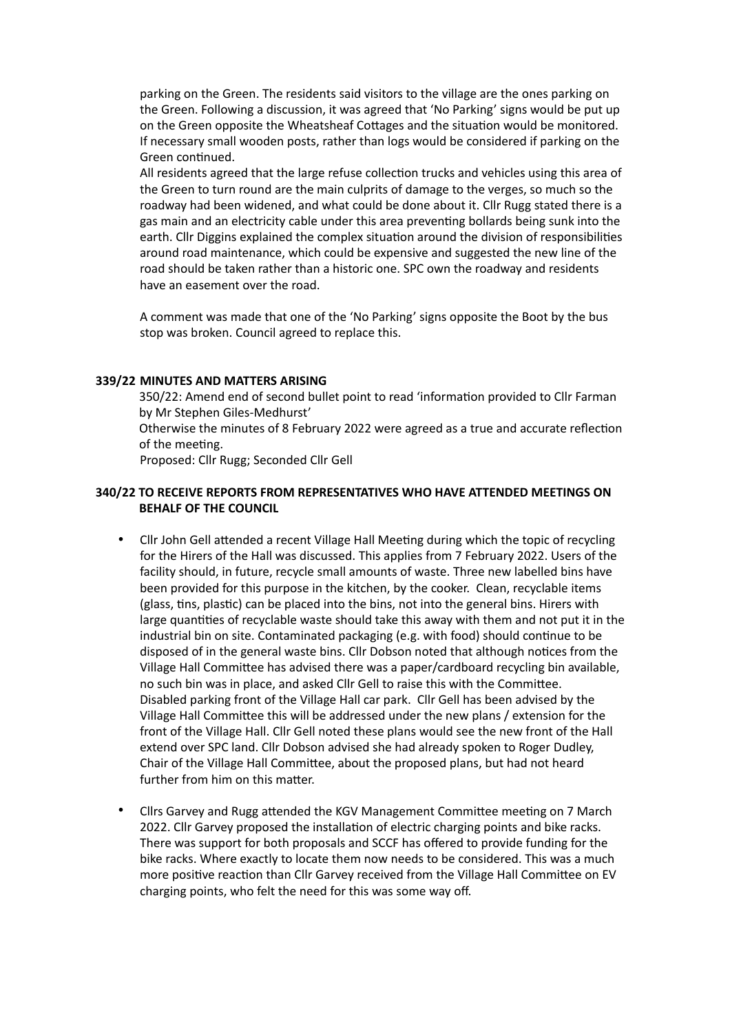parking on the Green. The residents said visitors to the village are the ones parking on the Green. Following a discussion, it was agreed that 'No Parking' signs would be put up on the Green opposite the Wheatsheaf Cottages and the situation would be monitored. If necessary small wooden posts, rather than logs would be considered if parking on the Green continued.

All residents agreed that the large refuse collection trucks and vehicles using this area of the Green to turn round are the main culprits of damage to the verges, so much so the roadway had been widened, and what could be done about it. Cllr Rugg stated there is a gas main and an electricity cable under this area preventing bollards being sunk into the earth. Cllr Diggins explained the complex situation around the division of responsibilities around road maintenance, which could be expensive and suggested the new line of the road should be taken rather than a historic one. SPC own the roadway and residents have an easement over the road.

A comment was made that one of the 'No Parking' signs opposite the Boot by the bus stop was broken. Council agreed to replace this.

#### **339/22 MINUTES AND MATTERS ARISING**

350/22: Amend end of second bullet point to read 'information provided to Cllr Farman by Mr Stephen Giles-Medhurst'

Otherwise the minutes of 8 February 2022 were agreed as a true and accurate reflection of the meeting.

Proposed: Cllr Rugg; Seconded Cllr Gell

### **340/22 TO RECEIVE REPORTS FROM REPRESENTATIVES WHO HAVE ATTENDED MEETINGS ON BEHALF OF THE COUNCIL**

- Cllr John Gell attended a recent Village Hall Meeting during which the topic of recycling for the Hirers of the Hall was discussed. This applies from 7 February 2022. Users of the facility should, in future, recycle small amounts of waste. Three new labelled bins have been provided for this purpose in the kitchen, by the cooker. Clean, recyclable items (glass, tins, plastic) can be placed into the bins, not into the general bins. Hirers with large quantities of recyclable waste should take this away with them and not put it in the industrial bin on site. Contaminated packaging (e.g. with food) should continue to be disposed of in the general waste bins. Cllr Dobson noted that although notices from the Village Hall Committee has advised there was a paper/cardboard recycling bin available, no such bin was in place, and asked Cllr Gell to raise this with the Committee. Disabled parking front of the Village Hall car park. Cllr Gell has been advised by the Village Hall Committee this will be addressed under the new plans / extension for the front of the Village Hall. Cllr Gell noted these plans would see the new front of the Hall extend over SPC land. Cllr Dobson advised she had already spoken to Roger Dudley, Chair of the Village Hall Committee, about the proposed plans, but had not heard further from him on this matter.
- Cllrs Garvey and Rugg attended the KGV Management Committee meeting on 7 March 2022. Cllr Garvey proposed the installation of electric charging points and bike racks. There was support for both proposals and SCCF has offered to provide funding for the bike racks. Where exactly to locate them now needs to be considered. This was a much more positive reaction than Cllr Garvey received from the Village Hall Committee on EV charging points, who felt the need for this was some way off.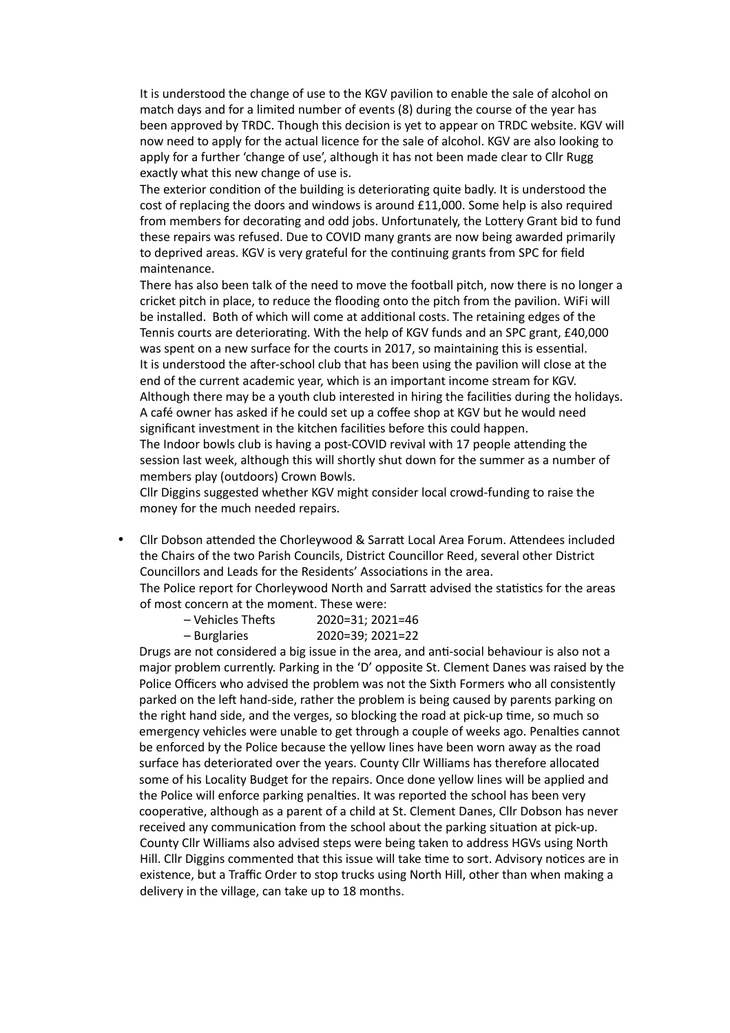It is understood the change of use to the KGV pavilion to enable the sale of alcohol on match days and for a limited number of events (8) during the course of the year has been approved by TRDC. Though this decision is yet to appear on TRDC website. KGV will now need to apply for the actual licence for the sale of alcohol. KGV are also looking to apply for a further 'change of use', although it has not been made clear to Cllr Rugg exactly what this new change of use is.

The exterior condition of the building is deteriorating quite badly. It is understood the cost of replacing the doors and windows is around £11,000. Some help is also required from members for decorating and odd jobs. Unfortunately, the Lottery Grant bid to fund these repairs was refused. Due to COVID many grants are now being awarded primarily to deprived areas. KGV is very grateful for the continuing grants from SPC for field maintenance.

There has also been talk of the need to move the football pitch, now there is no longer a cricket pitch in place, to reduce the flooding onto the pitch from the pavilion. WiFi will be installed. Both of which will come at additional costs. The retaining edges of the Tennis courts are deteriorating. With the help of KGV funds and an SPC grant, £40,000 was spent on a new surface for the courts in 2017, so maintaining this is essential. It is understood the after-school club that has been using the pavilion will close at the end of the current academic year, which is an important income stream for KGV. Although there may be a youth club interested in hiring the facilities during the holidays. A café owner has asked if he could set up a coffee shop at KGV but he would need significant investment in the kitchen facilities before this could happen. The Indoor bowls club is having a post-COVID revival with 17 people attending the session last week, although this will shortly shut down for the summer as a number of

members play (outdoors) Crown Bowls. Cllr Diggins suggested whether KGV might consider local crowd-funding to raise the money for the much needed repairs.

• Cllr Dobson attended the Chorleywood & Sarratt Local Area Forum. Attendees included the Chairs of the two Parish Councils, District Councillor Reed, several other District Councillors and Leads for the Residents' Associations in the area.

The Police report for Chorleywood North and Sarratt advised the statistics for the areas of most concern at the moment. These were:

| – Vehicles Thefts | 2020=31; 2021=46 |
|-------------------|------------------|
| – Burglaries      | 2020=39; 2021=22 |

Drugs are not considered a big issue in the area, and anti-social behaviour is also not a major problem currently. Parking in the 'D' opposite St. Clement Danes was raised by the Police Officers who advised the problem was not the Sixth Formers who all consistently parked on the left hand-side, rather the problem is being caused by parents parking on the right hand side, and the verges, so blocking the road at pick-up time, so much so emergency vehicles were unable to get through a couple of weeks ago. Penalties cannot be enforced by the Police because the yellow lines have been worn away as the road surface has deteriorated over the years. County Cllr Williams has therefore allocated some of his Locality Budget for the repairs. Once done yellow lines will be applied and the Police will enforce parking penalties. It was reported the school has been very cooperative, although as a parent of a child at St. Clement Danes, Cllr Dobson has never received any communication from the school about the parking situation at pick-up. County Cllr Williams also advised steps were being taken to address HGVs using North Hill. Cllr Diggins commented that this issue will take time to sort. Advisory notices are in existence, but a Traffic Order to stop trucks using North Hill, other than when making a delivery in the village, can take up to 18 months.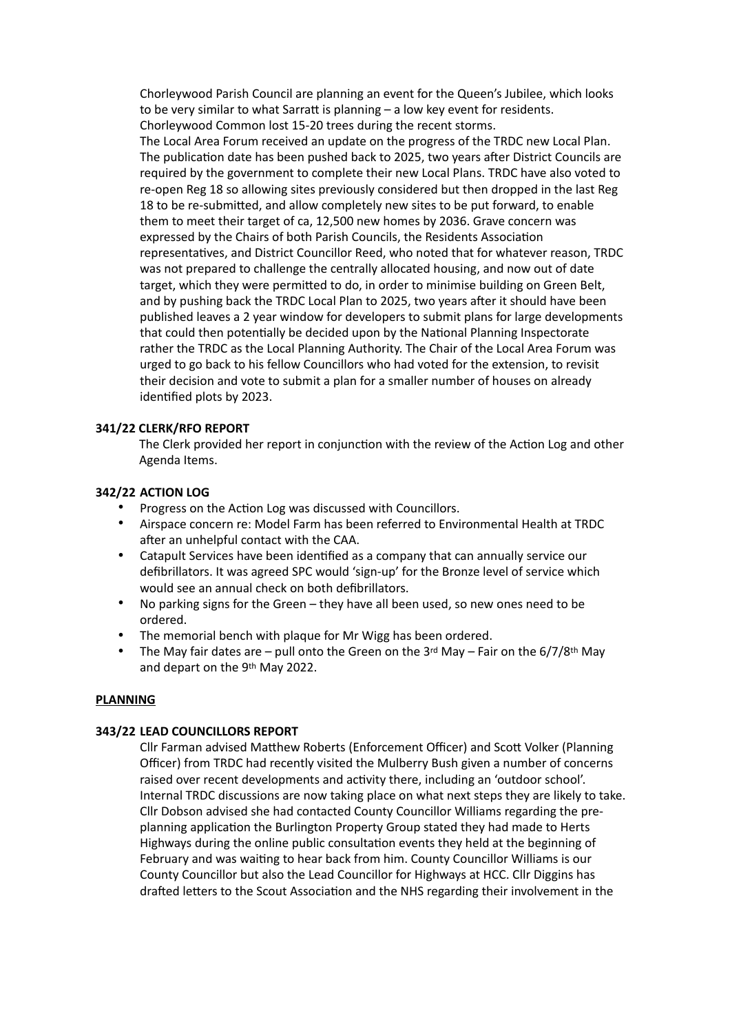Chorleywood Parish Council are planning an event for the Queen's Jubilee, which looks to be very similar to what Sarratt is planning – a low key event for residents. Chorleywood Common lost 15-20 trees during the recent storms. The Local Area Forum received an update on the progress of the TRDC new Local Plan. The publication date has been pushed back to 2025, two years after District Councils are required by the government to complete their new Local Plans. TRDC have also voted to re-open Reg 18 so allowing sites previously considered but then dropped in the last Reg 18 to be re-submitted, and allow completely new sites to be put forward, to enable them to meet their target of ca, 12,500 new homes by 2036. Grave concern was expressed by the Chairs of both Parish Councils, the Residents Association representatives, and District Councillor Reed, who noted that for whatever reason, TRDC was not prepared to challenge the centrally allocated housing, and now out of date target, which they were permitted to do, in order to minimise building on Green Belt, and by pushing back the TRDC Local Plan to 2025, two years after it should have been published leaves a 2 year window for developers to submit plans for large developments that could then potentially be decided upon by the National Planning Inspectorate rather the TRDC as the Local Planning Authority. The Chair of the Local Area Forum was urged to go back to his fellow Councillors who had voted for the extension, to revisit their decision and vote to submit a plan for a smaller number of houses on already identified plots by 2023.

#### **341/22 CLERK/RFO REPORT**

The Clerk provided her report in conjunction with the review of the Action Log and other Agenda Items.

#### **342/22 ACTION LOG**

- Progress on the Action Log was discussed with Councillors.
- Airspace concern re: Model Farm has been referred to Environmental Health at TRDC after an unhelpful contact with the CAA.
- Catapult Services have been identified as a company that can annually service our defibrillators. It was agreed SPC would 'sign-up' for the Bronze level of service which would see an annual check on both defibrillators.
- No parking signs for the Green they have all been used, so new ones need to be ordered.
- The memorial bench with plaque for Mr Wigg has been ordered.
- The May fair dates are pull onto the Green on the 3rd May Fair on the  $6/7/8$ <sup>th</sup> May and depart on the 9th May 2022.

#### **PLANNING**

#### **343/22 LEAD COUNCILLORS REPORT**

Cllr Farman advised Matthew Roberts (Enforcement Officer) and Scott Volker (Planning Officer) from TRDC had recently visited the Mulberry Bush given a number of concerns raised over recent developments and activity there, including an 'outdoor school'. Internal TRDC discussions are now taking place on what next steps they are likely to take. Cllr Dobson advised she had contacted County Councillor Williams regarding the preplanning application the Burlington Property Group stated they had made to Herts Highways during the online public consultation events they held at the beginning of February and was waiting to hear back from him. County Councillor Williams is our County Councillor but also the Lead Councillor for Highways at HCC. Cllr Diggins has drafted letters to the Scout Association and the NHS regarding their involvement in the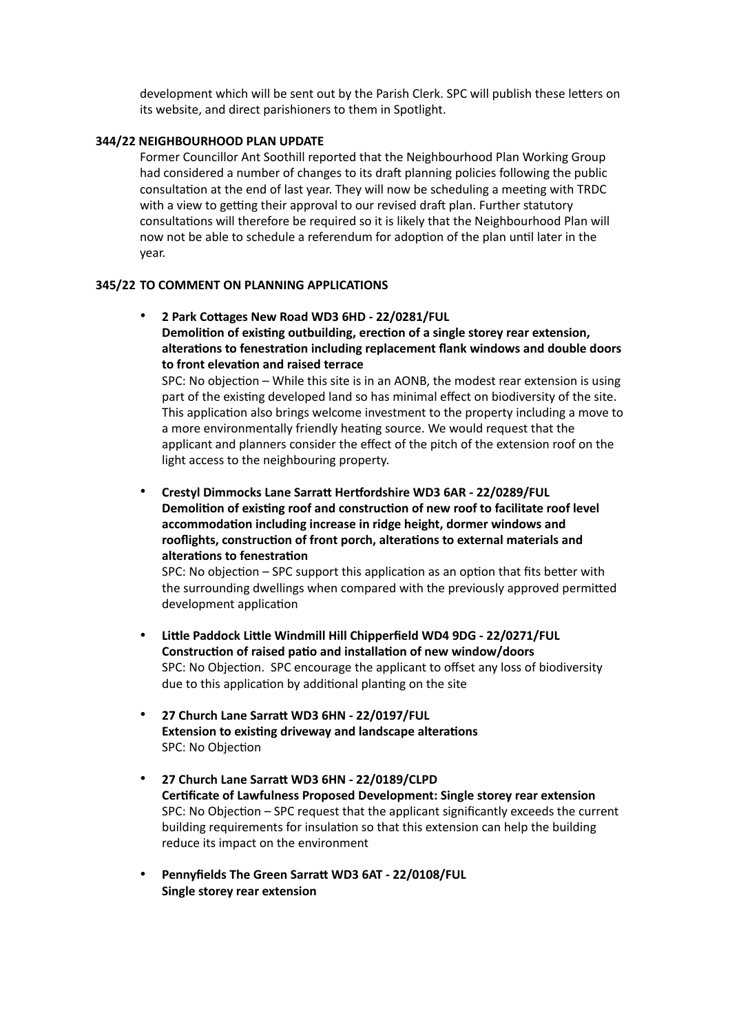development which will be sent out by the Parish Clerk. SPC will publish these letters on its website, and direct parishioners to them in Spotlight.

#### **344/22 NEIGHBOURHOOD PLAN UPDATE**

Former Councillor Ant Soothill reported that the Neighbourhood Plan Working Group had considered a number of changes to its draft planning policies following the public consultation at the end of last year. They will now be scheduling a meeting with TRDC with a view to getting their approval to our revised draft plan. Further statutory consultations will therefore be required so it is likely that the Neighbourhood Plan will now not be able to schedule a referendum for adoption of the plan until later in the year.

#### **345/22 TO COMMENT ON PLANNING APPLICATIONS**

• **2 Park Cottages New Road WD3 6HD - 22/0281/FUL Demolition of existing outbuilding, erection of a single storey rear extension, alterations to fenestration including replacement flank windows and double doors to front elevation and raised terrace** 

SPC: No objection – While this site is in an AONB, the modest rear extension is using part of the existing developed land so has minimal effect on biodiversity of the site. This application also brings welcome investment to the property including a move to a more environmentally friendly heating source. We would request that the applicant and planners consider the effect of the pitch of the extension roof on the light access to the neighbouring property.

• **Crestyl Dimmocks Lane Sarratt Hertfordshire WD3 6AR - 22/0289/FUL Demolition of existing roof and construction of new roof to facilitate roof level accommodation including increase in ridge height, dormer windows and rooflights, construction of front porch, alterations to external materials and alterations to fenestration**

SPC: No objection – SPC support this application as an option that fits better with the surrounding dwellings when compared with the previously approved permitted development application

- **Little Paddock Little Windmill Hill Chipperfield WD4 9DG 22/0271/FUL Construction of raised patio and installation of new window/doors** SPC: No Objection. SPC encourage the applicant to offset any loss of biodiversity due to this application by additional planting on the site
- **27 Church Lane Sarratt WD3 6HN 22/0197/FUL Extension to existing driveway and landscape alterations** SPC: No Objection
- **27 Church Lane Sarratt WD3 6HN 22/0189/CLPD Certificate of Lawfulness Proposed Development: Single storey rear extension** SPC: No Objection – SPC request that the applicant significantly exceeds the current building requirements for insulation so that this extension can help the building reduce its impact on the environment
- **Pennyfields The Green Sarratt WD3 6AT 22/0108/FUL Single storey rear extension**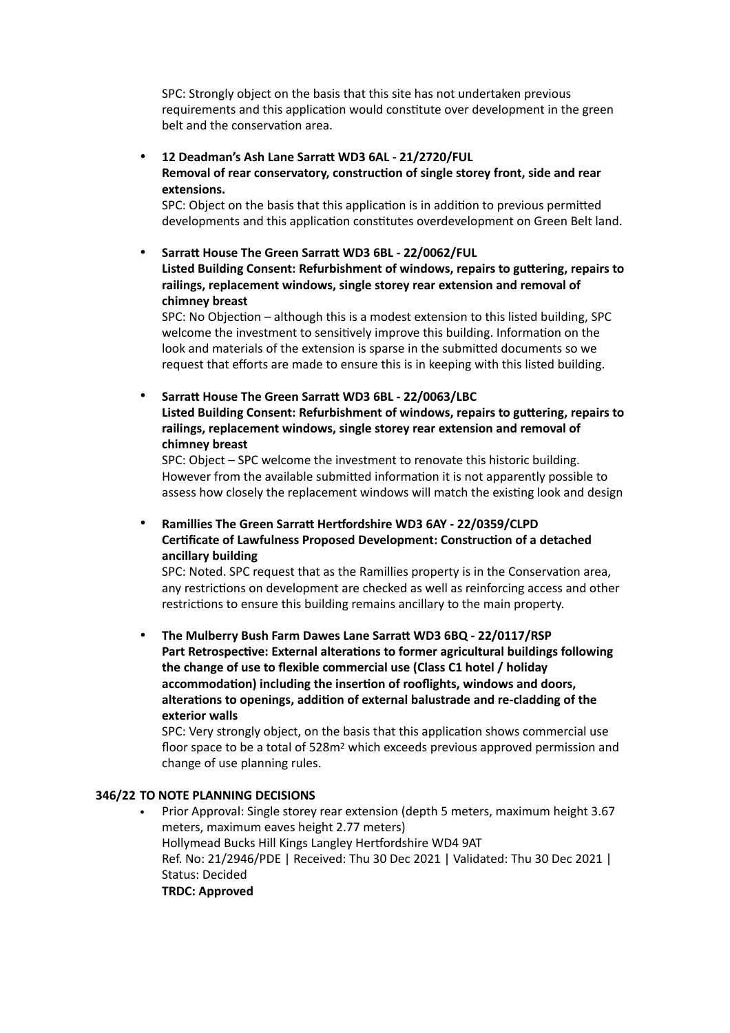SPC: Strongly object on the basis that this site has not undertaken previous requirements and this application would constitute over development in the green belt and the conservation area.

• **12 Deadman's Ash Lane Sarratt WD3 6AL - 21/2720/FUL Removal of rear conservatory, construction of single storey front, side and rear extensions.**

SPC: Object on the basis that this application is in addition to previous permitted developments and this application constitutes overdevelopment on Green Belt land.

• **Sarratt House The Green Sarratt WD3 6BL - 22/0062/FUL Listed Building Consent: Refurbishment of windows, repairs to guttering, repairs to railings, replacement windows, single storey rear extension and removal of chimney breast**

SPC: No Objection – although this is a modest extension to this listed building, SPC welcome the investment to sensitively improve this building. Information on the look and materials of the extension is sparse in the submitted documents so we request that efforts are made to ensure this is in keeping with this listed building.

## • **Sarratt House The Green Sarratt WD3 6BL - 22/0063/LBC**

**Listed Building Consent: Refurbishment of windows, repairs to guttering, repairs to railings, replacement windows, single storey rear extension and removal of chimney breast**

SPC: Object – SPC welcome the investment to renovate this historic building. However from the available submitted information it is not apparently possible to assess how closely the replacement windows will match the existing look and design

## • **Ramillies The Green Sarratt Hertfordshire WD3 6AY - 22/0359/CLPD Certificate of Lawfulness Proposed Development: Construction of a detached ancillary building**

SPC: Noted. SPC request that as the Ramillies property is in the Conservation area, any restrictions on development are checked as well as reinforcing access and other restrictions to ensure this building remains ancillary to the main property.

• **The Mulberry Bush Farm Dawes Lane Sarratt WD3 6BQ - 22/0117/RSP Part Retrospective: External alterations to former agricultural buildings following the change of use to flexible commercial use (Class C1 hotel / holiday accommodation) including the insertion of rooflights, windows and doors, alterations to openings, addition of external balustrade and re-cladding of the exterior walls**

SPC: Very strongly object, on the basis that this application shows commercial use floor space to be a total of 528m<sup>2</sup> which exceeds previous approved permission and change of use planning rules.

### **346/22 TO NOTE PLANNING DECISIONS**

• Prior Approval: Single storey rear extension (depth 5 meters, maximum height 3.67 meters, maximum eaves height 2.77 meters) Hollymead Bucks Hill Kings Langley Hertfordshire WD4 9AT Ref. No: 21/2946/PDE | Received: Thu 30 Dec 2021 | Validated: Thu 30 Dec 2021 | Status: Decided **TRDC: Approved**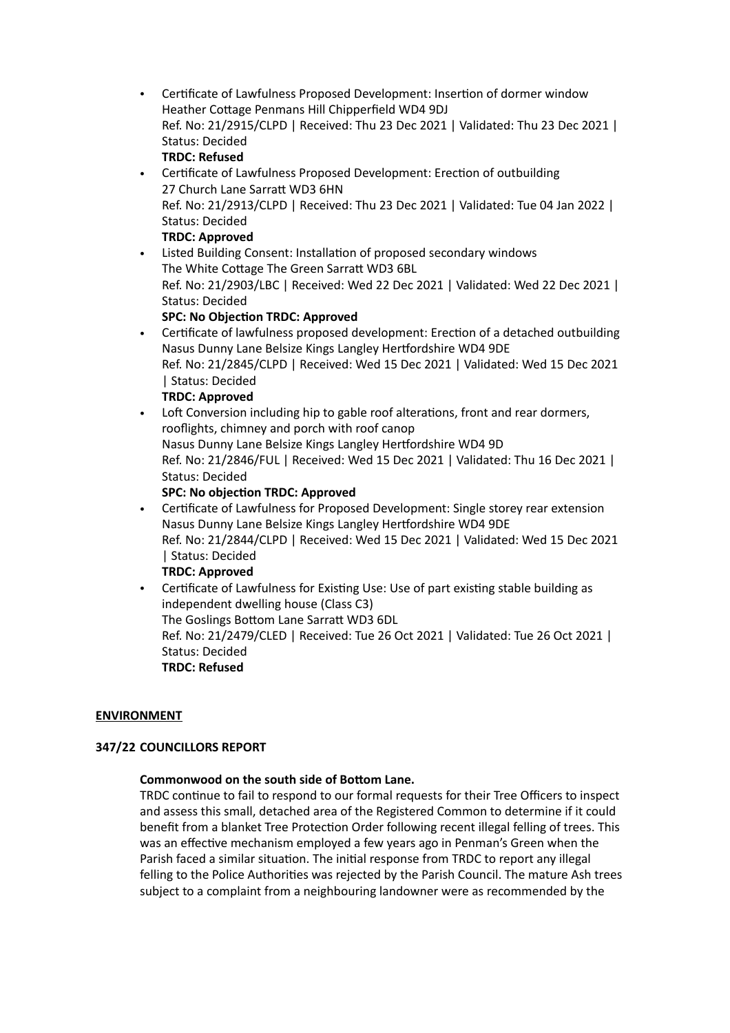- Certificate of Lawfulness Proposed Development: Insertion of dormer window Heather Cottage Penmans Hill Chipperfield WD4 9DJ Ref. No: 21/2915/CLPD | Received: Thu 23 Dec 2021 | Validated: Thu 23 Dec 2021 | Status: Decided **TRDC: Refused**
- Certificate of Lawfulness Proposed Development: Erection of outbuilding 27 Church Lane Sarratt WD3 6HN Ref. No: 21/2913/CLPD | Received: Thu 23 Dec 2021 | Validated: Tue 04 Jan 2022 | Status: Decided **TRDC: Approved**

• Listed Building Consent: Installation of proposed secondary windows The White Cottage The Green Sarratt WD3 6BL Ref. No: 21/2903/LBC | Received: Wed 22 Dec 2021 | Validated: Wed 22 Dec 2021 | Status: Decided

## **SPC: No Objection TRDC: Approved**

- Certificate of lawfulness proposed development: Erection of a detached outbuilding Nasus Dunny Lane Belsize Kings Langley Hertfordshire WD4 9DE Ref. No: 21/2845/CLPD | Received: Wed 15 Dec 2021 | Validated: Wed 15 Dec 2021 | Status: Decided **TRDC: Approved**
- Loft Conversion including hip to gable roof alterations, front and rear dormers, rooflights, chimney and porch with roof canop Nasus Dunny Lane Belsize Kings Langley Hertfordshire WD4 9D Ref. No: 21/2846/FUL | Received: Wed 15 Dec 2021 | Validated: Thu 16 Dec 2021 | Status: Decided

## **SPC: No objection TRDC: Approved**

• Certificate of Lawfulness for Proposed Development: Single storey rear extension Nasus Dunny Lane Belsize Kings Langley Hertfordshire WD4 9DE Ref. No: 21/2844/CLPD | Received: Wed 15 Dec 2021 | Validated: Wed 15 Dec 2021 | Status: Decided

### **TRDC: Approved**

• Certificate of Lawfulness for Existing Use: Use of part existing stable building as independent dwelling house (Class C3)

The Goslings Bottom Lane Sarratt WD3 6DL

Ref. No: 21/2479/CLED | Received: Tue 26 Oct 2021 | Validated: Tue 26 Oct 2021 | Status: Decided

**TRDC: Refused**

### **ENVIRONMENT**

### **347/22 COUNCILLORS REPORT**

### **Commonwood on the south side of Bottom Lane.**

TRDC continue to fail to respond to our formal requests for their Tree Officers to inspect and assess this small, detached area of the Registered Common to determine if it could benefit from a blanket Tree Protection Order following recent illegal felling of trees. This was an effective mechanism employed a few years ago in Penman's Green when the Parish faced a similar situation. The initial response from TRDC to report any illegal felling to the Police Authorities was rejected by the Parish Council. The mature Ash trees subject to a complaint from a neighbouring landowner were as recommended by the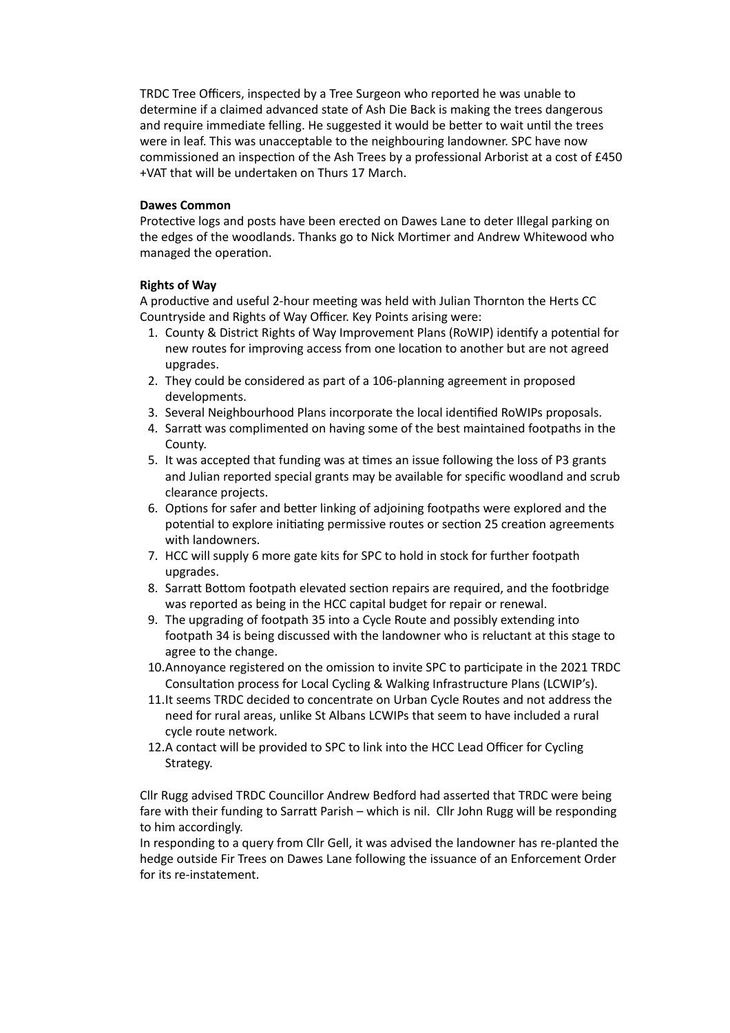TRDC Tree Officers, inspected by a Tree Surgeon who reported he was unable to determine if a claimed advanced state of Ash Die Back is making the trees dangerous and require immediate felling. He suggested it would be better to wait until the trees were in leaf. This was unacceptable to the neighbouring landowner. SPC have now commissioned an inspection of the Ash Trees by a professional Arborist at a cost of £450 +VAT that will be undertaken on Thurs 17 March.

#### **Dawes Common**

Protective logs and posts have been erected on Dawes Lane to deter Illegal parking on the edges of the woodlands. Thanks go to Nick Mortimer and Andrew Whitewood who managed the operation.

#### **Rights of Way**

A productive and useful 2-hour meeting was held with Julian Thornton the Herts CC Countryside and Rights of Way Officer. Key Points arising were:

- 1. County & District Rights of Way Improvement Plans (RoWIP) identify a potential for new routes for improving access from one location to another but are not agreed upgrades.
- 2. They could be considered as part of a 106-planning agreement in proposed developments.
- 3. Several Neighbourhood Plans incorporate the local identified RoWIPs proposals.
- 4. Sarratt was complimented on having some of the best maintained footpaths in the County.
- 5. It was accepted that funding was at times an issue following the loss of P3 grants and Julian reported special grants may be available for specific woodland and scrub clearance projects.
- 6. Options for safer and better linking of adjoining footpaths were explored and the potential to explore initiating permissive routes or section 25 creation agreements with landowners.
- 7. HCC will supply 6 more gate kits for SPC to hold in stock for further footpath upgrades.
- 8. Sarratt Bottom footpath elevated section repairs are required, and the footbridge was reported as being in the HCC capital budget for repair or renewal.
- 9. The upgrading of footpath 35 into a Cycle Route and possibly extending into footpath 34 is being discussed with the landowner who is reluctant at this stage to agree to the change.
- 10.Annoyance registered on the omission to invite SPC to participate in the 2021 TRDC Consultation process for Local Cycling & Walking Infrastructure Plans (LCWIP's).
- 11.It seems TRDC decided to concentrate on Urban Cycle Routes and not address the need for rural areas, unlike St Albans LCWIPs that seem to have included a rural cycle route network.
- 12.A contact will be provided to SPC to link into the HCC Lead Officer for Cycling Strategy.

Cllr Rugg advised TRDC Councillor Andrew Bedford had asserted that TRDC were being fare with their funding to Sarratt Parish – which is nil. Cllr John Rugg will be responding to him accordingly.

In responding to a query from Cllr Gell, it was advised the landowner has re-planted the hedge outside Fir Trees on Dawes Lane following the issuance of an Enforcement Order for its re-instatement.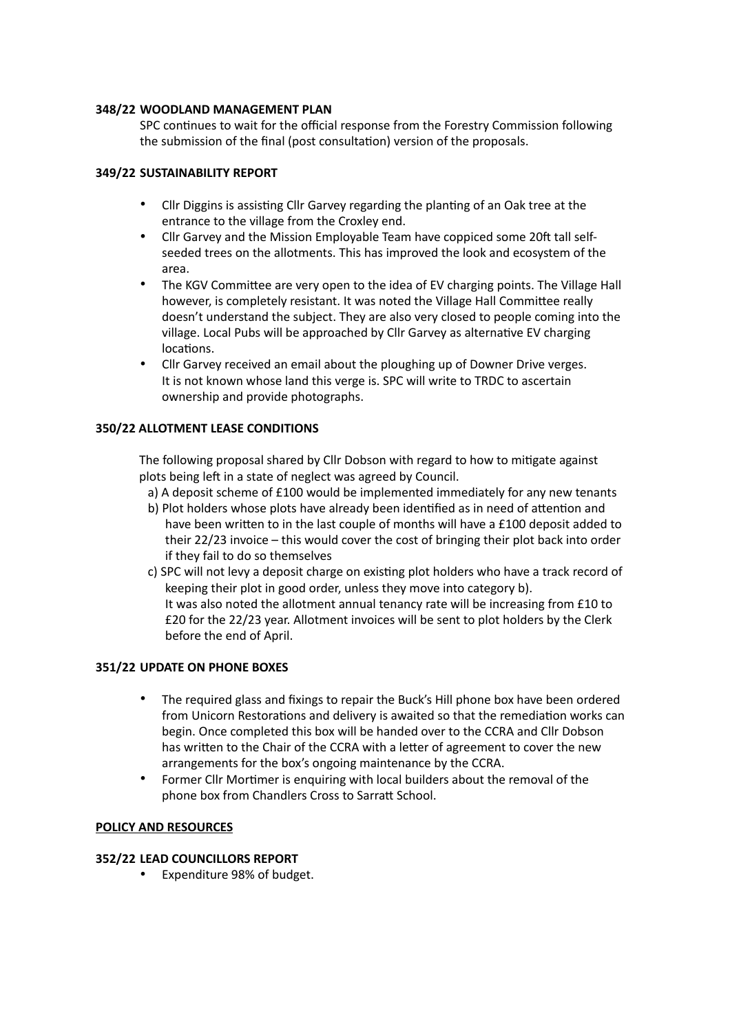### **348/22 WOODLAND MANAGEMENT PLAN**

SPC continues to wait for the official response from the Forestry Commission following the submission of the final (post consultation) version of the proposals.

## **349/22 SUSTAINABILITY REPORT**

- Cllr Diggins is assisting Cllr Garvey regarding the planting of an Oak tree at the entrance to the village from the Croxley end.
- Cllr Garvey and the Mission Employable Team have coppiced some 20ft tall selfseeded trees on the allotments. This has improved the look and ecosystem of the area.
- The KGV Committee are very open to the idea of EV charging points. The Village Hall however, is completely resistant. It was noted the Village Hall Committee really doesn't understand the subject. They are also very closed to people coming into the village. Local Pubs will be approached by Cllr Garvey as alternative EV charging locations.
- Cllr Garvey received an email about the ploughing up of Downer Drive verges. It is not known whose land this verge is. SPC will write to TRDC to ascertain ownership and provide photographs.

## **350/22 ALLOTMENT LEASE CONDITIONS**

The following proposal shared by Cllr Dobson with regard to how to mitigate against plots being left in a state of neglect was agreed by Council.

- a) A deposit scheme of £100 would be implemented immediately for any new tenants
- b) Plot holders whose plots have already been identified as in need of attention and have been written to in the last couple of months will have a £100 deposit added to their 22/23 invoice – this would cover the cost of bringing their plot back into order if they fail to do so themselves
- c) SPC will not levy a deposit charge on existing plot holders who have a track record of keeping their plot in good order, unless they move into category b). It was also noted the allotment annual tenancy rate will be increasing from £10 to £20 for the 22/23 year. Allotment invoices will be sent to plot holders by the Clerk before the end of April.

### **351/22 UPDATE ON PHONE BOXES**

- The required glass and fixings to repair the Buck's Hill phone box have been ordered from Unicorn Restorations and delivery is awaited so that the remediation works can begin. Once completed this box will be handed over to the CCRA and Cllr Dobson has written to the Chair of the CCRA with a letter of agreement to cover the new arrangements for the box's ongoing maintenance by the CCRA.
- Former Cllr Mortimer is enquiring with local builders about the removal of the phone box from Chandlers Cross to Sarratt School.

### **POLICY AND RESOURCES**

### **352/22 LEAD COUNCILLORS REPORT**

• Expenditure 98% of budget.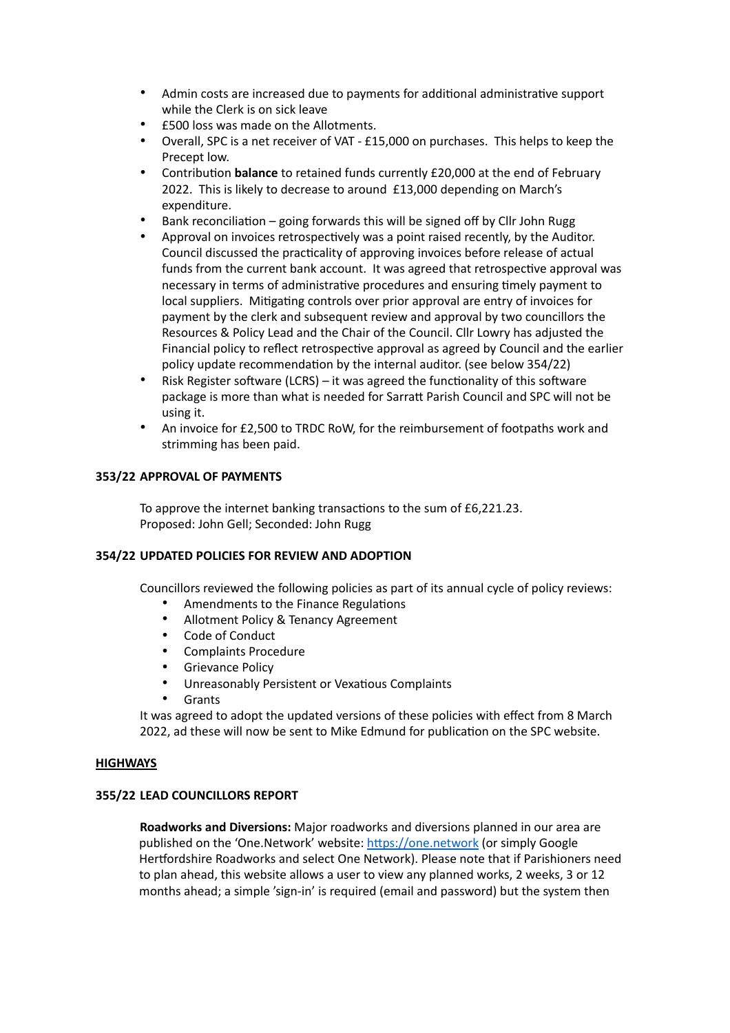- Admin costs are increased due to payments for additional administrative support while the Clerk is on sick leave
- £500 loss was made on the Allotments.
- Overall, SPC is a net receiver of VAT £15,000 on purchases. This helps to keep the Precept low.
- Contribution **balance** to retained funds currently £20,000 at the end of February 2022. This is likely to decrease to around £13,000 depending on March's expenditure.
- Bank reconciliation going forwards this will be signed off by Cllr John Rugg
- Approval on invoices retrospectively was a point raised recently, by the Auditor. Council discussed the practicality of approving invoices before release of actual funds from the current bank account. It was agreed that retrospective approval was necessary in terms of administrative procedures and ensuring timely payment to local suppliers. Mitigating controls over prior approval are entry of invoices for payment by the clerk and subsequent review and approval by two councillors the Resources & Policy Lead and the Chair of the Council. Cllr Lowry has adjusted the Financial policy to reflect retrospective approval as agreed by Council and the earlier policy update recommendation by the internal auditor. (see below 354/22)
- Risk Register software (LCRS) it was agreed the functionality of this software package is more than what is needed for Sarratt Parish Council and SPC will not be using it.
- An invoice for £2,500 to TRDC RoW, for the reimbursement of footpaths work and strimming has been paid.

### **353/22 APPROVAL OF PAYMENTS**

To approve the internet banking transactions to the sum of £6,221.23. Proposed: John Gell; Seconded: John Rugg

### **354/22 UPDATED POLICIES FOR REVIEW AND ADOPTION**

Councillors reviewed the following policies as part of its annual cycle of policy reviews:

- Amendments to the Finance Regulations
- Allotment Policy & Tenancy Agreement
- Code of Conduct
- Complaints Procedure
- Grievance Policy
- Unreasonably Persistent or Vexatious Complaints
- Grants

It was agreed to adopt the updated versions of these policies with effect from 8 March 2022, ad these will now be sent to Mike Edmund for publication on the SPC website.

### **HIGHWAYS**

### **355/22 LEAD COUNCILLORS REPORT**

**Roadworks and Diversions:** Major roadworks and diversions planned in our area are published on the 'One.Network' website:<https://one.network> (or simply Google Hertfordshire Roadworks and select One Network). Please note that if Parishioners need to plan ahead, this website allows a user to view any planned works, 2 weeks, 3 or 12 months ahead; a simple 'sign-in' is required (email and password) but the system then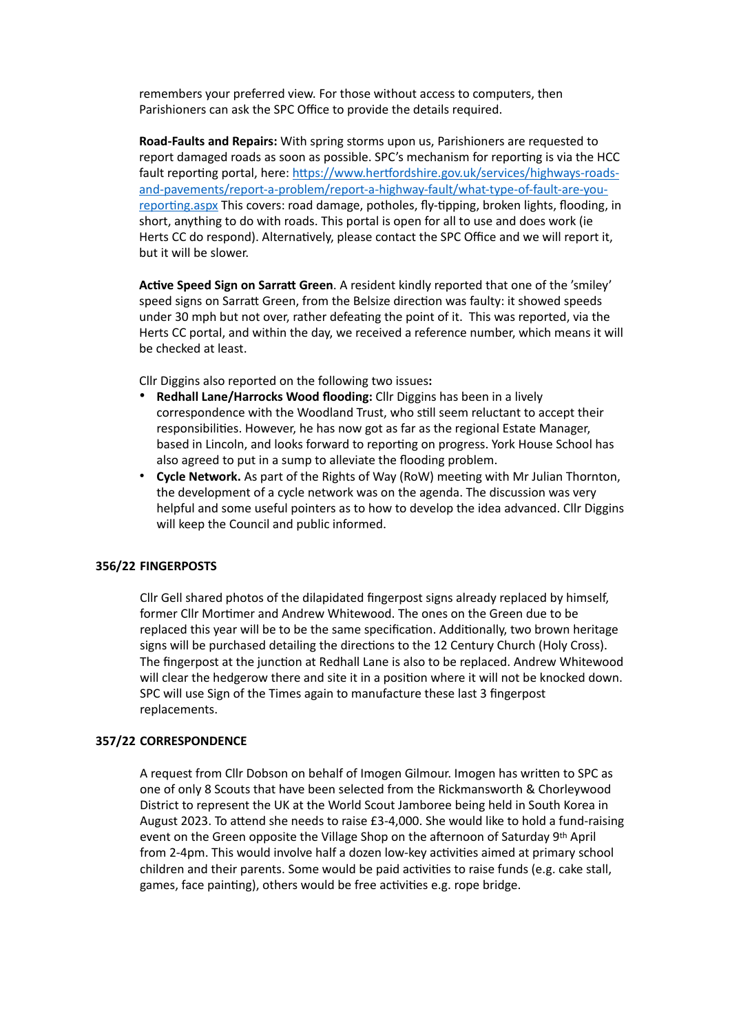remembers your preferred view. For those without access to computers, then Parishioners can ask the SPC Office to provide the details required.

**Road-Faults and Repairs:** With spring storms upon us, Parishioners are requested to report damaged roads as soon as possible. SPC's mechanism for reporting is via the HCC fault reporting portal, here: [https://www.hertfordshire.gov.uk/services/highways-roads](https://www.hertfordshire.gov.uk/services/highways-roads-and-pavements/report-a-problem/report-a-highway-fault/what-type-of-fault-are-you-reporting.aspx)[and-pavements/report-a-problem/report-a-highway-fault/what-type-of-fault-are-you](https://www.hertfordshire.gov.uk/services/highways-roads-and-pavements/report-a-problem/report-a-highway-fault/what-type-of-fault-are-you-reporting.aspx)[reporting.aspx](https://www.hertfordshire.gov.uk/services/highways-roads-and-pavements/report-a-problem/report-a-highway-fault/what-type-of-fault-are-you-reporting.aspx) This covers: road damage, potholes, fly-tipping, broken lights, flooding, in short, anything to do with roads. This portal is open for all to use and does work (ie Herts CC do respond). Alternatively, please contact the SPC Office and we will report it, but it will be slower.

**Active Speed Sign on Sarratt Green**. A resident kindly reported that one of the 'smiley' speed signs on Sarratt Green, from the Belsize direction was faulty: it showed speeds under 30 mph but not over, rather defeating the point of it. This was reported, via the Herts CC portal, and within the day, we received a reference number, which means it will be checked at least.

Cllr Diggins also reported on the following two issues**:**

- **Redhall Lane/Harrocks Wood flooding:** Cllr Diggins has been in a lively correspondence with the Woodland Trust, who still seem reluctant to accept their responsibilities. However, he has now got as far as the regional Estate Manager, based in Lincoln, and looks forward to reporting on progress. York House School has also agreed to put in a sump to alleviate the flooding problem.
- **Cycle Network.** As part of the Rights of Way (RoW) meeting with Mr Julian Thornton, the development of a cycle network was on the agenda. The discussion was very helpful and some useful pointers as to how to develop the idea advanced. Cllr Diggins will keep the Council and public informed.

#### **356/22 FINGERPOSTS**

Cllr Gell shared photos of the dilapidated fingerpost signs already replaced by himself, former Cllr Mortimer and Andrew Whitewood. The ones on the Green due to be replaced this year will be to be the same specification. Additionally, two brown heritage signs will be purchased detailing the directions to the 12 Century Church (Holy Cross). The fingerpost at the junction at Redhall Lane is also to be replaced. Andrew Whitewood will clear the hedgerow there and site it in a position where it will not be knocked down. SPC will use Sign of the Times again to manufacture these last 3 fingerpost replacements.

#### **357/22 CORRESPONDENCE**

A request from Cllr Dobson on behalf of Imogen Gilmour. Imogen has written to SPC as one of only 8 Scouts that have been selected from the Rickmansworth & Chorleywood District to represent the UK at the World Scout Jamboree being held in South Korea in August 2023. To attend she needs to raise £3-4,000. She would like to hold a fund-raising event on the Green opposite the Village Shop on the afternoon of Saturday 9th April from 2-4pm. This would involve half a dozen low-key activities aimed at primary school children and their parents. Some would be paid activities to raise funds (e.g. cake stall, games, face painting), others would be free activities e.g. rope bridge.